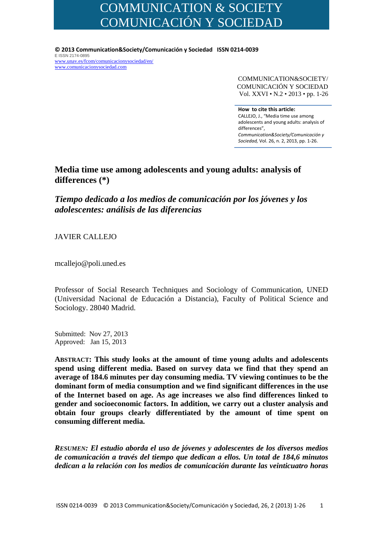# COMMUNICATION & SOCIETY COMUNICACIÓN Y SOCIEDAD

**© 2013 Communication&Society/Comunicación y Sociedad ISSN 0214‐0039** E ISSN 2174-0895 www.unav.es/fcom/comunicacionysociedad/en/ www.comunicacionysociedad.com

> COMMUNICATION&SOCIETY/ COMUNICACIÓN Y SOCIEDAD Vol. XXVI • N.2 • 2013 • pp. 1-26

 differences", **How to cite this article:** CALLEJO, J., "Media time use among adolescents and young adults: analysis of *Communication&Society/Comunicación y Sociedad,* Vol. 26, n. 2, 2013, pp. 1‐26.

## **Media time use among adolescents and young adults: analysis of differences (\*)**

*Tiempo dedicado a los medios de comunicación por los jóvenes y los adolescentes: análisis de las diferencias* 

JAVIER CALLEJO

mcallejo@poli.uned.es

Professor of Social Research Techniques and Sociology of Communication, UNED (Universidad Nacional de Educación a Distancia), Faculty of Political Science and Sociology. 28040 Madrid.

Submitted: Nov 27, 2013 Approved: Jan 15, 2013

**ABSTRACT: This study looks at the amount of time young adults and adolescents spend using different media. Based on survey data we find that they spend an average of 184.6 minutes per day consuming media. TV viewing continues to be the dominant form of media consumption and we find significant differences in the use of the Internet based on age. As age increases we also find differences linked to gender and socioeconomic factors. In addition, we carry out a cluster analysis and obtain four groups clearly differentiated by the amount of time spent on consuming different media.** 

*RESUMEN: El estudio aborda el uso de jóvenes y adolescentes de los diversos medios de comunicación a través del tiempo que dedican a ellos. Un total de 184,6 minutos dedican a la relación con los medios de comunicación durante las veinticuatro horas*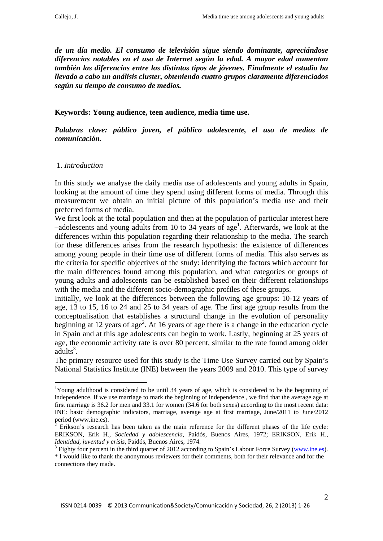*de un día medio. El consumo de televisión sigue siendo dominante, apreciándose diferencias notables en el uso de Internet según la edad. A mayor edad aumentan también las diferencias entre los distintos tipos de jóvenes. Finalmente el estudio ha llevado a cabo un análisis cluster, obteniendo cuatro grupos claramente diferenciados según su tiempo de consumo de medios.* 

**Keywords: Young audience, teen audience, media time use.** 

*Palabras clave: público joven, el público adolescente, el uso de medios de comunicación.* 

## 1. *Introduction*

1

In this study we analyse the daily media use of adolescents and young adults in Spain, looking at the amount of time they spend using different forms of media. Through this measurement we obtain an initial picture of this population's media use and their preferred forms of media.

We first look at the total population and then at the population of particular interest here  $-$ adolescents and young adults from 10 to 34 years of age<sup>1</sup>. Afterwards, we look at the differences within this population regarding their relationship to the media. The search for these differences arises from the research hypothesis: the existence of differences among young people in their time use of different forms of media. This also serves as the criteria for specific objectives of the study: identifying the factors which account for the main differences found among this population, and what categories or groups of young adults and adolescents can be established based on their different relationships with the media and the different socio-demographic profiles of these groups.

Initially, we look at the differences between the following age groups: 10-12 years of age, 13 to 15, 16 to 24 and 25 to 34 years of age. The first age group results from the conceptualisation that establishes a structural change in the evolution of personality beginning at 12 years of age<sup>2</sup>. At 16 years of age there is a change in the education cycle in Spain and at this age adolescents can begin to work. Lastly, beginning at 25 years of age, the economic activity rate is over 80 percent, similar to the rate found among older  $adults<sup>3</sup>$ .

The primary resource used for this study is the Time Use Survey carried out by Spain's National Statistics Institute (INE) between the years 2009 and 2010. This type of survey

<sup>&</sup>lt;sup>1</sup>Young adulthood is considered to be until 34 years of age, which is considered to be the beginning of independence. If we use marriage to mark the beginning of independence , we find that the average age at first marriage is 36.2 for men and 33.1 for women (34.6 for both sexes) according to the most recent data: INE: basic demographic indicators, marriage, average age at first marriage, June/2011 to June/2012 period (www.ine.es).

 $\overline{2}$  Erikson's research has been taken as the main reference for the different phases of the life cycle: ERIKSON, Erik H., *Sociedad y adolescencia*, Paidós, Buenos Aires, 1972; ERIKSON, Erik H., *Identidad, juventud y crisis, Paidós, Buenos Aires, 1974.* 

<sup>&</sup>lt;sup>3</sup> Eighty four percent in the third quarter of 2012 according to Spain's Labour Force Survey (www.ine.es).

<sup>\*</sup> I would like to thank the anonymous reviewers for their comments, both for their relevance and for the connections they made.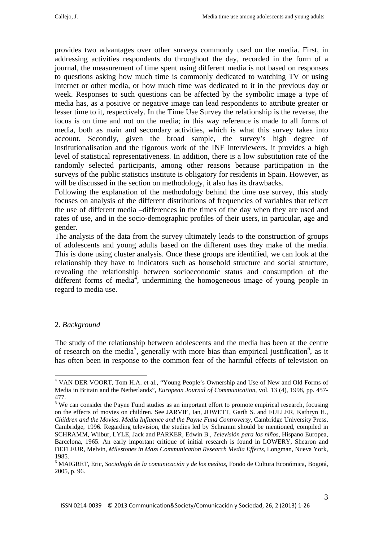provides two advantages over other surveys commonly used on the media. First, in addressing activities respondents do throughout the day, recorded in the form of a journal, the measurement of time spent using different media is not based on responses to questions asking how much time is commonly dedicated to watching TV or using Internet or other media, or how much time was dedicated to it in the previous day or week. Responses to such questions can be affected by the symbolic image a type of media has, as a positive or negative image can lead respondents to attribute greater or lesser time to it, respectively. In the Time Use Survey the relationship is the reverse, the focus is on time and not on the media; in this way reference is made to all forms of media, both as main and secondary activities, which is what this survey takes into account. Secondly, given the broad sample, the survey's high degree of institutionalisation and the rigorous work of the INE interviewers, it provides a high level of statistical representativeness. In addition, there is a low substitution rate of the randomly selected participants, among other reasons because participation in the surveys of the public statistics institute is obligatory for residents in Spain. However, as will be discussed in the section on methodology, it also has its drawbacks.

Following the explanation of the methodology behind the time use survey, this study focuses on analysis of the different distributions of frequencies of variables that reflect the use of different media –differences in the times of the day when they are used and rates of use, and in the socio-demographic profiles of their users, in particular, age and gender.

The analysis of the data from the survey ultimately leads to the construction of groups of adolescents and young adults based on the different uses they make of the media. This is done using cluster analysis. Once these groups are identified, we can look at the relationship they have to indicators such as household structure and social structure, revealing the relationship between socioeconomic status and consumption of the different forms of media<sup>4</sup>, undermining the homogeneous image of young people in regard to media use.

## 2. *Background*

1

The study of the relationship between adolescents and the media has been at the centre of research on the media<sup>5</sup>, generally with more bias than empirical justification<sup>6</sup>, as it has often been in response to the common fear of the harmful effects of television on

<sup>&</sup>lt;sup>4</sup> VAN DER VOORT, Tom H.A. et al., "Young People's Ownership and Use of New and Old Forms of Media in Britain and the Netherlands", *European Journal of Communication*, vol. 13 (4), 1998, pp. 457- 477.

<sup>&</sup>lt;sup>5</sup> We can consider the Payne Fund studies as an important effort to promote empirical research, focusing on the effects of movies on children. See JARVIE, Ian, JOWETT, Garth S. and FULLER, Kathryn H., *Children and the Movies. Media Influence and the Payne Fund Controversy*, Cambridge University Press, Cambridge, 1996. Regarding television, the studies led by Schramm should be mentioned, compiled in SCHRAMM, Wilbur, LYLE, Jack and PARKER, Edwin B., *Televisión para los niños*, Hispano Europea, Barcelona, 1965. An early important critique of initial research is found in LOWERY, Shearon and DEFLEUR, Melvin, *Milestones in Mass Communication Research Media Effects*, Longman, Nueva York, 1985.

<sup>6</sup> MAIGRET, Eric, *Sociología de la comunicación y de los medios*, Fondo de Cultura Económica, Bogotá, 2005, p. 96.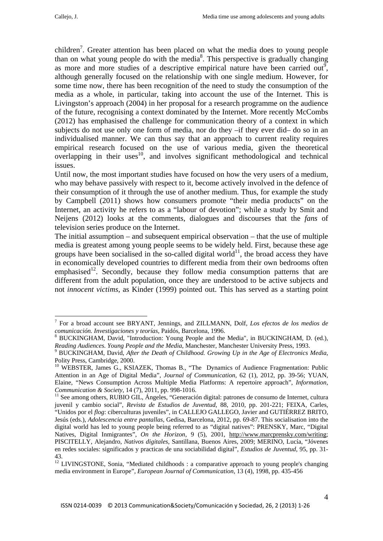children<sup>7</sup>. Greater attention has been placed on what the media does to young people than on what young people do with the media $8$ . This perspective is gradually changing as more and more studies of a descriptive empirical nature have been carried out<sup>9</sup>, although generally focused on the relationship with one single medium. However, for some time now, there has been recognition of the need to study the consumption of the media as a whole, in particular, taking into account the use of the Internet. This is Livingston's approach (2004) in her proposal for a research programme on the audience of the future, recognising a context dominated by the Internet. More recently McCombs (2012) has emphasised the challenge for communication theory of a context in which subjects do not use only one form of media, nor do they –if they ever did– do so in an individualised manner. We can thus say that an approach to current reality requires empirical research focused on the use of various media, given the theoretical overlapping in their uses<sup>10</sup>, and involves significant methodological and technical issues.

Until now, the most important studies have focused on how the very users of a medium, who may behave passively with respect to it, become actively involved in the defence of their consumption of it through the use of another medium. Thus, for example the study by Campbell (2011) shows how consumers promote "their media products" on the Internet, an activity he refers to as a "labour of devotion"; while a study by Smit and Neijens (2012) looks at the comments, dialogues and discourses that the *fans* of television series produce on the Internet.

The initial assumption – and subsequent empirical observation – that the use of multiple media is greatest among young people seems to be widely held. First, because these age groups have been socialised in the so-called digital world<sup>11</sup>, the broad access they have in economically developed countries to different media from their own bedrooms often emphasised<sup>12</sup>. Secondly, because they follow media consumption patterns that are different from the adult population, once they are understood to be active subjects and not *innocent victims*, as Kinder (1999) pointed out. This has served as a starting point

<sup>7</sup> For a broad account see BRYANT, Jennings, and ZILLMANN, Dolf, *Los efectos de los medios de*  comunicación. Investigaciones y teorías, Paidós, Barcelona, 1996.

BUCKINGHAM, David, "Introduction: Young People and the Media", in BUCKINGHAM, D. (ed.), *Reading Audiences. Young People and the Media*, Manchester, Manchester University Press, 1993.

BUCKINGHAM, David, *After the Death of Childhood. Growing Up in the Age of Electronics Media*, Polity Press, Cambridge, 2000.

<sup>&</sup>lt;sup>10</sup> WEBSTER, James G., KSIAZEK, Thomas B., "The Dynamics of Audience Fragmentation: Public Attention in an Age of Digital Media", *Journal of Communication*, 62 (1), 2012, pp. 39-56; YUAN, Elaine, "News Consumption Across Multiple Media Platforms: A repertoire approach", *Information, Communication & Society*, 14 (7), 2011, pp. 998-1016.<br><sup>11</sup> See among others, RUBIO GIL, Ángeles, "Generación digital: patrones de consumo de Internet, cultura

juvenil y cambio social", *Revista de Estudios de Juventud*, 88, 2010, pp. 201-221; FEIXA, Carles, "Unidos por el *flog*: ciberculturas juveniles", in CALLEJO GALLEGO, Javier and GUTIÉRREZ BRITO, Jesús (eds.), *Adolescencia entre pantallas*, Gedisa, Barcelona, 2012, pp. 69-87. This socialisation into the digital world has led to young people being referred to as "digital natives": PRENSKY, Marc, "Digital Natives, Digital Inmigrantes", *On the Horizon*, 9 (5), 2001, http://www.marcprensky.com/writing; PISCITELLY, Alejandro, *Nativos digitales*, Santillana, Buenos Aires, 2009; MERINO, Lucía, "Jóvenes en redes sociales: significados y practicas de una sociabilidad digital", *Estudios de Juventud*, 95, pp. 31- 43.

<sup>&</sup>lt;sup>12</sup> LIVINGSTONE. Sonia, "Mediated childhoods : a comparative approach to young people's changing media environment in Europe", *European Journal of Communication*, 13 (4), 1998, pp. 435-456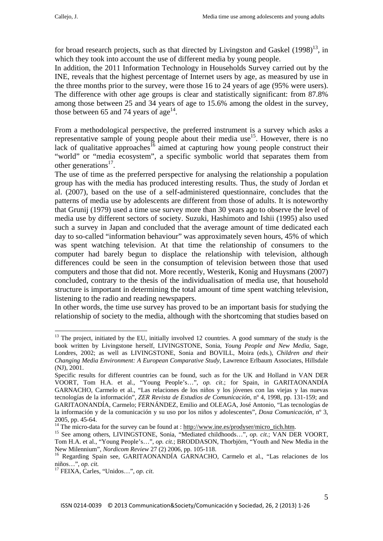for broad research projects, such as that directed by Livingston and Gaskel  $(1998)^{13}$ , in which they took into account the use of different media by young people.

In addition, the 2011 Information Technology in Households Survey carried out by the INE, reveals that the highest percentage of Internet users by age, as measured by use in the three months prior to the survey, were those 16 to 24 years of age (95% were users). The difference with other age groups is clear and statistically significant: from 87.8% among those between 25 and 34 years of age to 15.6% among the oldest in the survey, those between 65 and 74 years of age<sup>14</sup>.

From a methodological perspective, the preferred instrument is a survey which asks a representative sample of young people about their media use<sup>15</sup>. However, there is no lack of qualitative approaches<sup>16</sup> aimed at capturing how young people construct their "world" or "media ecosystem", a specific symbolic world that separates them from other generations $^{17}$ .

The use of time as the preferred perspective for analysing the relationship a population group has with the media has produced interesting results. Thus, the study of Jordan et al. (2007), based on the use of a self-administered questionnaire, concludes that the patterns of media use by adolescents are different from those of adults. It is noteworthy that Grunij (1979) used a time use survey more than 30 years ago to observe the level of media use by different sectors of society. Suzuki, Hashimoto and Ishii (1995) also used such a survey in Japan and concluded that the average amount of time dedicated each day to so-called "information behaviour" was approximately seven hours, 45% of which was spent watching television. At that time the relationship of consumers to the computer had barely begun to displace the relationship with television, although differences could be seen in the consumption of television between those that used computers and those that did not. More recently, Westerik, Konig and Huysmans (2007) concluded, contrary to the thesis of the individualisation of media use, that household structure is important in determining the total amount of time spent watching television, listening to the radio and reading newspapers.

In other words, the time use survey has proved to be an important basis for studying the relationship of society to the media, although with the shortcoming that studies based on

<sup>&</sup>lt;sup>13</sup> The project, initiated by the EU, initially involved 12 countries. A good summary of the study is the book written by Livingstone herself, LIVINGSTONE, Sonia, *Young People and New Media*, Sage, Londres, 2002; as well as LIVINGSTONE, Sonia and BOVILL, Moira (eds.), *Children and their Changing Media Environment: A European Comparative Study*, Lawrence Erlbaum Associates, Hillsdale (NJ), 2001.

Specific results for different countries can be found, such as for the UK and Holland in VAN DER VOORT, Tom H.A. et al., "Young People's…", *op. cit*.; for Spain, in GARITAONANDÍA GARNACHO, Carmelo et al., "Las relaciones de los niños y los jóvenes con las viejas y las nuevas tecnologías de la información", *ZER Revista de Estudios de Comunicación*, nº 4, 1998, pp. 131-159; and GARITAONANDÍA, Carmelo; FERNÁNDEZ, Emilio and OLEAGA, José Antonio, "Las tecnologías de la información y de la comunicación y su uso por los niños y adolescentes", *Doxa Comunicación,* nº 3,

<sup>2005,</sup> pp. 45-64.<br><sup>14</sup> The micro-data for the survey can be found at : http://www.ine.es/prodyser/micro\_tich.htm.

<sup>&</sup>lt;sup>15</sup> See among others, LIVINGSTONE, Sonia, "Mediated childhoods...", *op. cit.*; VAN DER VOORT, Tom H.A. et al., "Young People's…", *op. cit*.; BRODDASON, Thorbjörn, "Youth and New Media in the

New Milennium", *Nordicom Review 27 (2) 2006*, pp. 105-118.<br><sup>16</sup> Regarding Spain see, GARITAONANDÍA GARNACHO, Carmelo et al., "Las relaciones de los niños…", *op. cit.* 17 FEIXA, Carles, "Unidos…", *op. cit*.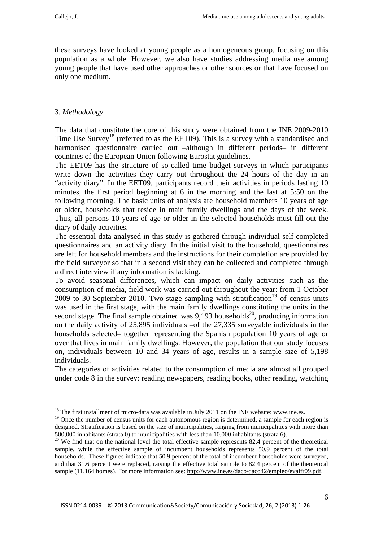these surveys have looked at young people as a homogeneous group, focusing on this population as a whole. However, we also have studies addressing media use among young people that have used other approaches or other sources or that have focused on only one medium.

## 3. *Methodology*

<u>.</u>

The data that constitute the core of this study were obtained from the INE 2009-2010 Time Use Survey<sup>18</sup> (referred to as the EET09). This is a survey with a standardised and harmonised questionnaire carried out –although in different periods– in different countries of the European Union following Eurostat guidelines.

The EET09 has the structure of so-called time budget surveys in which participants write down the activities they carry out throughout the 24 hours of the day in an "activity diary". In the EET09, participants record their activities in periods lasting 10 minutes, the first period beginning at 6 in the morning and the last at 5:50 on the following morning. The basic units of analysis are household members 10 years of age or older, households that reside in main family dwellings and the days of the week. Thus, all persons 10 years of age or older in the selected households must fill out the diary of daily activities.

The essential data analysed in this study is gathered through individual self-completed questionnaires and an activity diary. In the initial visit to the household, questionnaires are left for household members and the instructions for their completion are provided by the field surveyor so that in a second visit they can be collected and completed through a direct interview if any information is lacking.

To avoid seasonal differences, which can impact on daily activities such as the consumption of media, field work was carried out throughout the year: from 1 October  $2009$  to 30 September 2010. Two-stage sampling with stratification<sup>19</sup> of census units was used in the first stage, with the main family dwellings constituting the units in the second stage. The final sample obtained was  $9,193$  households<sup>20</sup>, producing information on the daily activity of 25,895 individuals –of the 27,335 surveyable individuals in the households selected– together representing the Spanish population 10 years of age or over that lives in main family dwellings. However, the population that our study focuses on, individuals between 10 and 34 years of age, results in a sample size of 5,198 individuals.

The categories of activities related to the consumption of media are almost all grouped under code 8 in the survey: reading newspapers, reading books, other reading, watching

 $18$  The first installment of micro-data was available in July 2011 on the INE website: www.ine.es.

<sup>&</sup>lt;sup>19</sup> Once the number of census units for each autonomous region is determined, a sample for each region is designed. Stratification is based on the size of municipalities, ranging from municipalities with more than

<sup>500,000</sup> inhabitants (strata 0) to municipalities with less than 10,000 inhabitants (strata 6).<br><sup>20</sup> We find that on the national level the total effective sample represents 82.4 percent of the theoretical sample, while the effective sample of incumbent households represents 50.9 percent of the total households. These figures indicate that 50.9 percent of the total of incumbent households were surveyed, and that 31.6 percent were replaced, raising the effective total sample to 82.4 percent of the theoretical sample (11,164 homes). For more information see: http://www.ine.es/daco/daco42/empleo/evalfr09.pdf.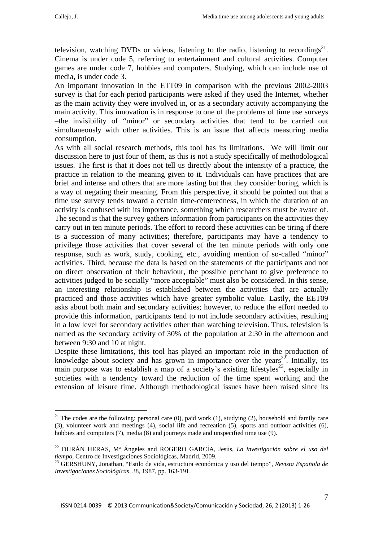television, watching DVDs or videos, listening to the radio, listening to recordings<sup>21</sup>. Cinema is under code 5, referring to entertainment and cultural activities. Computer games are under code 7, hobbies and computers. Studying, which can include use of media, is under code 3.

An important innovation in the ETT09 in comparison with the previous 2002-2003 survey is that for each period participants were asked if they used the Internet, whether as the main activity they were involved in, or as a secondary activity accompanying the main activity. This innovation is in response to one of the problems of time use surveys –the invisibility of "minor" or secondary activities that tend to be carried out simultaneously with other activities. This is an issue that affects measuring media consumption.

As with all social research methods, this tool has its limitations. We will limit our discussion here to just four of them, as this is not a study specifically of methodological issues. The first is that it does not tell us directly about the intensity of a practice, the practice in relation to the meaning given to it. Individuals can have practices that are brief and intense and others that are more lasting but that they consider boring, which is a way of negating their meaning. From this perspective, it should be pointed out that a time use survey tends toward a certain time-centeredness, in which the duration of an activity is confused with its importance, something which researchers must be aware of. The second is that the survey gathers information from participants on the activities they carry out in ten minute periods. The effort to record these activities can be tiring if there is a succession of many activities; therefore, participants may have a tendency to privilege those activities that cover several of the ten minute periods with only one response, such as work, study, cooking, etc., avoiding mention of so-called "minor" activities. Third, because the data is based on the statements of the participants and not on direct observation of their behaviour, the possible penchant to give preference to activities judged to be socially "more acceptable" must also be considered. In this sense, an interesting relationship is established between the activities that are actually practiced and those activities which have greater symbolic value. Lastly, the EET09 asks about both main and secondary activities; however, to reduce the effort needed to provide this information, participants tend to not include secondary activities, resulting in a low level for secondary activities other than watching television. Thus, television is named as the secondary activity of 30% of the population at 2:30 in the afternoon and between 9:30 and 10 at night.

Despite these limitations, this tool has played an important role in the production of knowledge about society and has grown in importance over the years<sup>22</sup>. Initially, its main purpose was to establish a map of a society's existing lifestyles<sup>23</sup>, especially in societies with a tendency toward the reduction of the time spent working and the extension of leisure time. Although methodological issues have been raised since its

<sup>&</sup>lt;sup>21</sup> The codes are the following: personal care (0), paid work (1), studying (2), household and family care (3), volunteer work and meetings (4), social life and recreation (5), sports and outdoor activities (6), hobbies and computers (7), media (8) and journeys made and unspecified time use (9).

<sup>22</sup> DURÁN HERAS, Mª Ángeles and ROGERO GARCÍA, Jesús, *La investigación sobre el uso del* 

*tiempo*, Centro de Investigaciones Sociológicas, Madrid, 2009. 23 GERSHUNY, Jonathan, "Estilo de vida, estructura económica y uso del tiempo", *Revista Española de Investigaciones Sociológicas,* 38, 1987, pp. 163-191.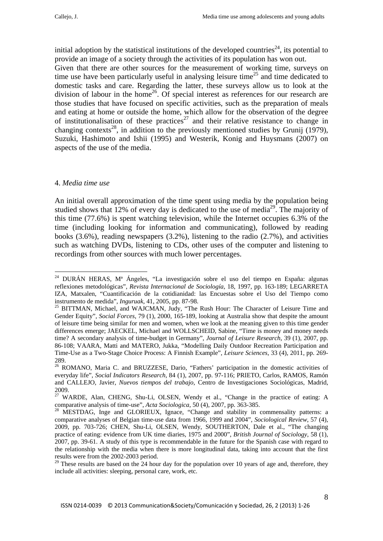initial adoption by the statistical institutions of the developed countries<sup>24</sup>, its potential to provide an image of a society through the activities of its population has won out.

Given that there are other sources for the measurement of working time, surveys on time use have been particularly useful in analysing leisure time<sup>25</sup> and time dedicated to domestic tasks and care. Regarding the latter, these surveys allow us to look at the division of labour in the home<sup>26</sup>. Of special interest as references for our research are those studies that have focused on specific activities, such as the preparation of meals and eating at home or outside the home, which allow for the observation of the degree of institutionalisation of these practices<sup>27</sup> and their relative resistance to change in changing contexts<sup>28</sup>, in addition to the previously mentioned studies by Grunij (1979), Suzuki, Hashimoto and Ishii (1995) and Westerik, Konig and Huysmans (2007) on aspects of the use of the media.

## 4. *Media time use*

<u>.</u>

An initial overall approximation of the time spent using media by the population being studied shows that  $12\%$  of every day is dedicated to the use of media<sup>29</sup>. The majority of this time (77.6%) is spent watching television, while the Internet occupies 6.3% of the time (including looking for information and communicating), followed by reading books  $(3.6\%)$ , reading newspapers  $(3.2\%)$ , listening to the radio  $(2.7\%)$ , and activities such as watching DVDs, listening to CDs, other uses of the computer and listening to recordings from other sources with much lower percentages.

<sup>24</sup> DURÁN HERAS, Mª Ángeles, "La investigación sobre el uso del tiempo en España: algunas reflexiones metodológicas", *Revista Internacional de Sociología*, 18, 1997, pp. 163-189; LEGARRETA IZA, Matxalen, "Cuantificación de la cotidianidad: las Encuestas sobre el Uso del Tiempo como

instrumento de medida", *Inguruak*, 41, 2005, pp. 87-98. 25 BITTMAN, Michael, and WAJCMAN, Judy, "The Rush Hour: The Character of Leisure Time and Gender Equity", *Social Forces*, 79 (1), 2000, 165-189, looking at Australia show that despite the amount of leisure time being similar for men and women, when we look at the meaning given to this time gender differences emerge; JAECKEL, Michael and WOLLSCHEID, Sabine, "Time is money and money needs time? A secondary analysis of time-budget in Germany", *Journal of Leisure Research*, 39 (1), 2007, pp. 86-108; VAARA, Matti and MATERO, Jukka, "Modelling Daily Outdoor Recreation Participation and Time-Use as a Two-Stage Choice Process: A Finnish Example", *Leisure Sciences*, 33 (4), 2011, pp. 269- 289.

<sup>&</sup>lt;sup>26</sup> ROMANO, Maria C. and BRUZZESE, Dario, "Fathers' participation in the domestic activities of everyday life", *Social Indicators Research*, 84 (1), 2007, pp. 97-116; PRIETO, Carlos, RAMOS, Ramón and CALLEJO, Javier, *Nuevos tiempos del trabajo*, Centro de Investigaciones Sociológicas, Madrid, 2009.

 $27^{\frac{200}{27}}$  WARDE, Alan, CHENG, Shu-Li, OLSEN, Wendy et al., "Change in the practice of eating: A

comparative analysis of time-use", *Acta Sociologica*, 50 (4), 2007, pp. 363-385.<br><sup>28</sup> MESTDAG, Inge and GLORIEUX, Ignace, "Change and stability in commensality patterns: a comparative analyses of Belgian time-use data from 1966, 1999 and 2004", *Sociological Review*, 57 (4), 2009, pp. 703-726; CHEN, Shu-Li, OLSEN, Wendy, SOUTHERTON, Dale et al., "The changing practice of eating: evidence from UK time diaries, 1975 and 2000", *British Journal of Sociology*, 58 (1), 2007, pp. 39-61. A study of this type is recommendable in the future for the Spanish case with regard to the relationship with the media when there is more longitudinal data, taking into account that the first results were from the 2002-2003 period.

<sup>&</sup>lt;sup>29</sup> These results are based on the  $24$  hour day for the population over 10 years of age and, therefore, they include all activities: sleeping, personal care, work, etc.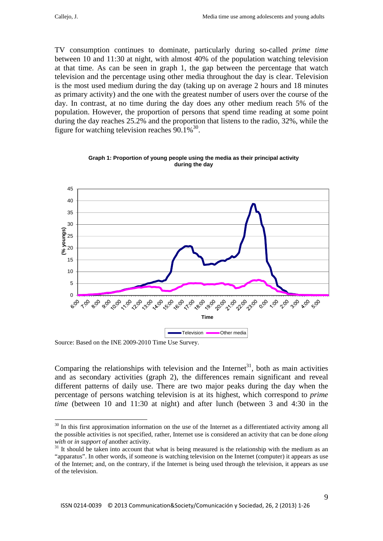TV consumption continues to dominate, particularly during so-called *prime time* between 10 and 11:30 at night, with almost 40% of the population watching television at that time. As can be seen in graph 1, the gap between the percentage that watch television and the percentage using other media throughout the day is clear. Television is the most used medium during the day (taking up on average 2 hours and 18 minutes as primary activity) and the one with the greatest number of users over the course of the day. In contrast, at no time during the day does any other medium reach 5% of the population. However, the proportion of persons that spend time reading at some point during the day reaches 25.2% and the proportion that listens to the radio, 32%, while the figure for watching television reaches  $90.1\%^{30}$ .



**Graph 1: Proportion of young people using the media as their principal activity during the day**

Source: Based on the INE 2009-2010 Time Use Survey.

1

Comparing the relationships with television and the Internet<sup>31</sup>, both as main activities and as secondary activities (graph 2), the differences remain significant and reveal different patterns of daily use. There are two major peaks during the day when the percentage of persons watching television is at its highest, which correspond to *prime time* (between 10 and 11:30 at night) and after lunch (between 3 and 4:30 in the

<sup>&</sup>lt;sup>30</sup> In this first approximation information on the use of the Internet as a differentiated activity among all the possible activities is not specified, rather, Internet use is considered an activity that can be done *along with* or *in support of* another activity.<br><sup>31</sup> It should be taken into account that what is being measured is the relationship with the medium as an

<sup>&</sup>quot;apparatus". In other words, if someone is watching television on the Internet (computer) it appears as use of the Internet; and, on the contrary, if the Internet is being used through the television, it appears as use of the television.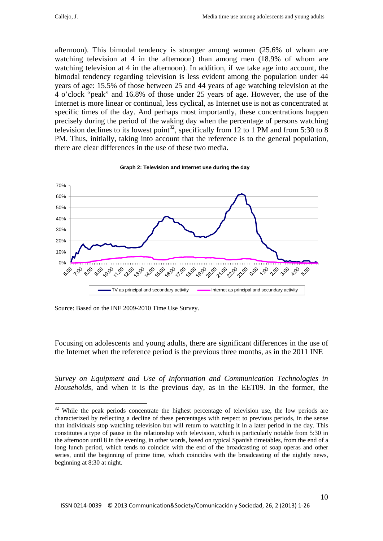<u>.</u>

afternoon). This bimodal tendency is stronger among women (25.6% of whom are watching television at 4 in the afternoon) than among men (18.9% of whom are watching television at 4 in the afternoon). In addition, if we take age into account, the bimodal tendency regarding television is less evident among the population under 44 years of age: 15.5% of those between 25 and 44 years of age watching television at the 4 o'clock "peak" and 16.8% of those under 25 years of age. However, the use of the Internet is more linear or continual, less cyclical, as Internet use is not as concentrated at specific times of the day. And perhaps most importantly, these concentrations happen precisely during the period of the waking day when the percentage of persons watching television declines to its lowest point<sup>32</sup>, specifically from 12 to 1 PM and from 5:30 to 8 PM. Thus, initially, taking into account that the reference is to the general population, there are clear differences in the use of these two media.



**Graph 2: Television and Internet use during the day**

Source: Based on the INE 2009-2010 Time Use Survey.

Focusing on adolescents and young adults, there are significant differences in the use of the Internet when the reference period is the previous three months, as in the 2011 INE

*Survey on Equipment and Use of Information and Communication Technologies in Households*, and when it is the previous day, as in the EET09. In the former, the

<sup>&</sup>lt;sup>32</sup> While the peak periods concentrate the highest percentage of television use, the low periods are characterized by reflecting a decline of these percentages with respect to previous periods, in the sense that individuals stop watching television but will return to watching it in a later period in the day. This constitutes a type of pause in the relationship with television, which is particularly notable from 5:30 in the afternoon until 8 in the evening, in other words, based on typical Spanish timetables, from the end of a long lunch period, which tends to coincide with the end of the broadcasting of soap operas and other series, until the beginning of prime time, which coincides with the broadcasting of the nightly news, beginning at 8:30 at night.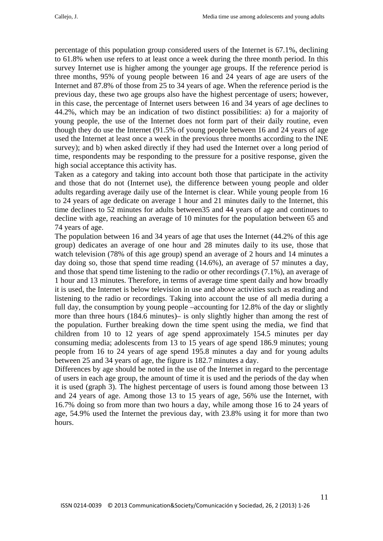percentage of this population group considered users of the Internet is 67.1%, declining to 61.8% when use refers to at least once a week during the three month period. In this survey Internet use is higher among the younger age groups. If the reference period is three months, 95% of young people between 16 and 24 years of age are users of the Internet and 87.8% of those from 25 to 34 years of age. When the reference period is the previous day, these two age groups also have the highest percentage of users; however, in this case, the percentage of Internet users between 16 and 34 years of age declines to 44.2%, which may be an indication of two distinct possibilities: a) for a majority of young people, the use of the Internet does not form part of their daily routine, even though they do use the Internet (91.5% of young people between 16 and 24 years of age used the Internet at least once a week in the previous three months according to the INE survey); and b) when asked directly if they had used the Internet over a long period of time, respondents may be responding to the pressure for a positive response, given the high social acceptance this activity has.

Taken as a category and taking into account both those that participate in the activity and those that do not (Internet use), the difference between young people and older adults regarding average daily use of the Internet is clear. While young people from 16 to 24 years of age dedicate on average 1 hour and 21 minutes daily to the Internet, this time declines to 52 minutes for adults between35 and 44 years of age and continues to decline with age, reaching an average of 10 minutes for the population between 65 and 74 years of age.

The population between 16 and 34 years of age that uses the Internet (44.2% of this age group) dedicates an average of one hour and 28 minutes daily to its use, those that watch television (78% of this age group) spend an average of 2 hours and 14 minutes a day doing so, those that spend time reading (14.6%), an average of 57 minutes a day, and those that spend time listening to the radio or other recordings (7.1%), an average of 1 hour and 13 minutes. Therefore, in terms of average time spent daily and how broadly it is used, the Internet is below television in use and above activities such as reading and listening to the radio or recordings. Taking into account the use of all media during a full day, the consumption by young people –accounting for 12.8% of the day or slightly more than three hours (184.6 minutes)– is only slightly higher than among the rest of the population. Further breaking down the time spent using the media, we find that children from 10 to 12 years of age spend approximately 154.5 minutes per day consuming media; adolescents from 13 to 15 years of age spend 186.9 minutes; young people from 16 to 24 years of age spend 195.8 minutes a day and for young adults between 25 and 34 years of age, the figure is 182.7 minutes a day.

Differences by age should be noted in the use of the Internet in regard to the percentage of users in each age group, the amount of time it is used and the periods of the day when it is used (graph 3). The highest percentage of users is found among those between 13 and 24 years of age. Among those 13 to 15 years of age, 56% use the Internet, with 16.7% doing so from more than two hours a day, while among those 16 to 24 years of age, 54.9% used the Internet the previous day, with 23.8% using it for more than two hours.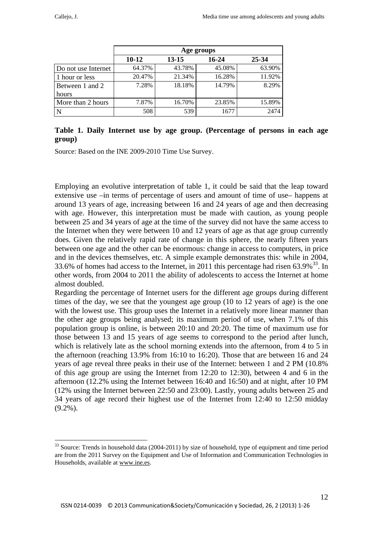|                     |           |        | Age groups |        |
|---------------------|-----------|--------|------------|--------|
|                     | $10 - 12$ | 13-15  | $16 - 24$  | 25-34  |
| Do not use Internet | 64.37%    | 43.78% | 45.08%     | 63.90% |
| 1 hour or less      | 20.47%    | 21.34% | 16.28%     | 11.92% |
| Between 1 and 2     | 7.28%     | 18.18% | 14.79%     | 8.29%  |
| hours               |           |        |            |        |
| More than 2 hours   | 7.87%     | 16.70% | 23.85%     | 15.89% |
|                     | 508       | 539    | 1677       | 2474   |

## **Table 1. Daily Internet use by age group. (Percentage of persons in each age group)**

Source: Based on the INE 2009-2010 Time Use Survey.

Employing an evolutive interpretation of table 1, it could be said that the leap toward extensive use –in terms of percentage of users and amount of time of use– happens at around 13 years of age, increasing between 16 and 24 years of age and then decreasing with age. However, this interpretation must be made with caution, as young people between 25 and 34 years of age at the time of the survey did not have the same access to the Internet when they were between 10 and 12 years of age as that age group currently does. Given the relatively rapid rate of change in this sphere, the nearly fifteen years between one age and the other can be enormous: change in access to computers, in price and in the devices themselves, etc. A simple example demonstrates this: while in 2004, 33.6% of homes had access to the Internet, in 2011 this percentage had risen  $63.9\%$ <sup>33</sup>. In other words, from 2004 to 2011 the ability of adolescents to access the Internet at home almost doubled.

Regarding the percentage of Internet users for the different age groups during different times of the day, we see that the youngest age group (10 to 12 years of age) is the one with the lowest use. This group uses the Internet in a relatively more linear manner than the other age groups being analysed; its maximum period of use, when 7.1% of this population group is online, is between 20:10 and 20:20. The time of maximum use for those between 13 and 15 years of age seems to correspond to the period after lunch, which is relatively late as the school morning extends into the afternoon, from 4 to 5 in the afternoon (reaching 13.9% from 16:10 to 16:20). Those that are between 16 and 24 years of age reveal three peaks in their use of the Internet: between 1 and 2 PM (10.8% of this age group are using the Internet from 12:20 to 12:30), between 4 and 6 in the afternoon (12.2% using the Internet between 16:40 and 16:50) and at night, after 10 PM (12% using the Internet between 22:50 and 23:00). Lastly, young adults between 25 and 34 years of age record their highest use of the Internet from 12:40 to 12:50 midday  $(9.2\%)$ .

<sup>&</sup>lt;sup>33</sup> Source: Trends in household data (2004-2011) by size of household, type of equipment and time period are from the 2011 Survey on the Equipment and Use of Information and Communication Technologies in Households, available at www.ine.es.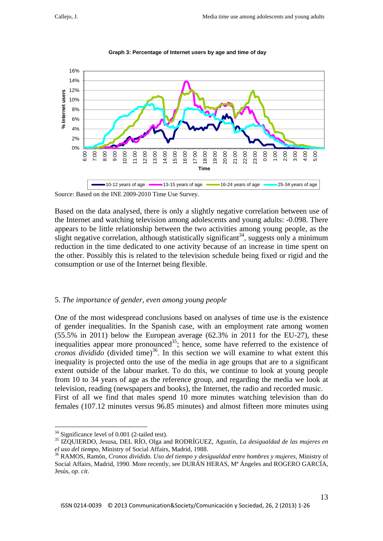

**Graph 3: Percentage of Internet users by age and time of day** 

Source: Based on the INE 2009-2010 Time Use Survey.

Based on the data analysed, there is only a slightly negative correlation between use of the Internet and watching television among adolescents and young adults: -0.098. There appears to be little relationship between the two activities among young people, as the slight negative correlation, although statistically significant<sup>34</sup>, suggests only a minimum reduction in the time dedicated to one activity because of an increase in time spent on the other. Possibly this is related to the television schedule being fixed or rigid and the consumption or use of the Internet being flexible.

## 5. *The importance of gender, even among young people*

One of the most widespread conclusions based on analyses of time use is the existence of gender inequalities. In the Spanish case, with an employment rate among women (55.5% in 2011) below the European average (62.3% in 2011 for the EU-27), these inequalities appear more pronounced<sup>35</sup>; hence, some have referred to the existence of *cronos dividido* (divided time)<sup>36</sup>. In this section we will examine to what extent this inequality is projected onto the use of the media in age groups that are to a significant extent outside of the labour market. To do this, we continue to look at young people from 10 to 34 years of age as the reference group, and regarding the media we look at television, reading (newspapers and books), the Internet, the radio and recorded music. First of all we find that males spend 10 more minutes watching television than do females (107.12 minutes versus 96.85 minutes) and almost fifteen more minutes using

1

 $34$  Significance level of 0.001 (2-tailed test).

<sup>35</sup> IZQUIERDO, Jesusa, DEL RÍO, Olga and RODRÍGUEZ, Agustín, *La desigualdad de las mujeres en el uso del tiempo*, Ministry of Social Affairs, Madrid, 1988. 36 RAMOS, Ramón, *Cronos dividido. Uso del tiempo y desigualdad entre hombres y mujeres*, Ministry of

Social Affairs, Madrid, 1990. More recently, see DURÁN HERAS, Mª Ángeles and ROGERO GARCÍA, Jesús, *op. cit*.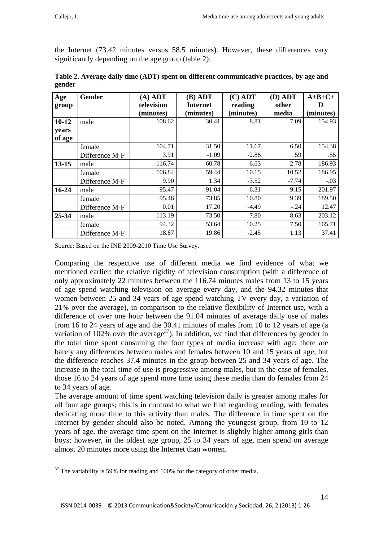the Internet (73.42 minutes versus 58.5 minutes). However, these differences vary significantly depending on the age group (table 2):

| Age       | <b>Gender</b>  | $(A)$ ADT  | $(B)$ ADT       | $(C)$ ADT | (D) ADT | $A+B+C+$  |
|-----------|----------------|------------|-----------------|-----------|---------|-----------|
| group     |                | television | <b>Internet</b> | reading   | other   | Ð         |
|           |                | (minutes)  | (minutes)       | (minutes) | media   | (minutes) |
| $10 - 12$ | male           | 108.62     | 30.41           | 8.81      | 7.09    | 154.93    |
| years     |                |            |                 |           |         |           |
| of age    |                |            |                 |           |         |           |
|           | female         | 104.71     | 31.50           | 11.67     | 6.50    | 154.38    |
|           | Difference M-F | 3.91       | $-1.09$         | $-2.86$   | .59     | .55       |
| $13 - 15$ | male           | 116.74     | 60.78           | 6.63      | 2.78    | 186.93    |
|           | female         | 106.84     | 59.44           | 10.15     | 10.52   | 186.95    |
|           | Difference M-F | 9.90       | 1.34            | $-3.52$   | $-7.74$ | $-.03$    |
| 16-24     | male           | 95.47      | 91.04           | 6.31      | 9.15    | 201.97    |
|           | female         | 95.46      | 73.85           | 10.80     | 9.39    | 189.50    |
|           | Difference M-F | 0.01       | 17.20           | $-4.49$   | $-.24$  | 12.47     |
| 25-34     | male           | 113.19     | 73.50           | 7.80      | 8.63    | 203.12    |
|           | female         | 94.32      | 53.64           | 10.25     | 7.50    | 165.71    |
|           | Difference M-F | 18.87      | 19.86           | $-2.45$   | 1.13    | 37.41     |

| Table 2. Average daily time (ADT) spent on different communicative practices, by age and |  |
|------------------------------------------------------------------------------------------|--|
| gender                                                                                   |  |

Source: Based on the INE 2009-2010 Time Use Survey.

Comparing the respective use of different media we find evidence of what we mentioned earlier: the relative rigidity of television consumption (with a difference of only approximately 22 minutes between the 116.74 minutes males from 13 to 15 years of age spend watching television on average every day, and the 94.32 minutes that women between 25 and 34 years of age spend watching TV every day, a variation of 21% over the average), in comparison to the relative flexibility of Internet use, with a difference of over one hour between the 91.04 minutes of average daily use of males from 16 to 24 years of age and the 30.41 minutes of males from 10 to 12 years of age (a variation of 102% over the average<sup>37</sup>). In addition, we find that differences by gender in the total time spent consuming the four types of media increase with age; there are barely any differences between males and females between 10 and 15 years of age, but the difference reaches 37.4 minutes in the group between 25 and 34 years of age. The increase in the total time of use is progressive among males, but in the case of females, those 16 to 24 years of age spend more time using these media than do females from 24 to 34 years of age.

The average amount of time spent watching television daily is greater among males for all four age groups; this is in contrast to what we find regarding reading, with females dedicating more time to this activity than males. The difference in time spent on the Internet by gender should also be noted. Among the youngest group, from 10 to 12 years of age, the average time spent on the Internet is slightly higher among girls than boys; however, in the oldest age group, 25 to 34 years of age, men spend on average almost 20 minutes more using the Internet than women.

 $37$  The variability is 59% for reading and 100% for the category of other media.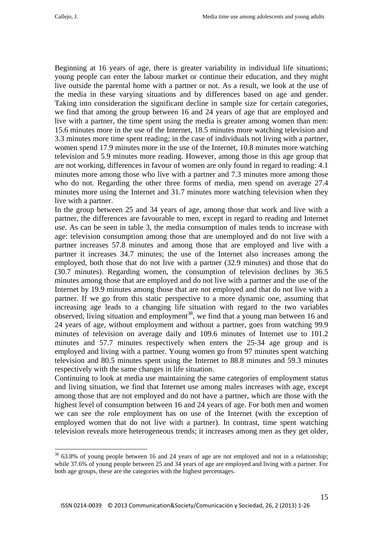Beginning at 16 years of age, there is greater variability in individual life situations; young people can enter the labour market or continue their education, and they might live outside the parental home with a partner or not. As a result, we look at the use of the media in these varying situations and by differences based on age and gender. Taking into consideration the significant decline in sample size for certain categories, we find that among the group between 16 and 24 years of age that are employed and live with a partner, the time spent using the media is greater among women than men: 15.6 minutes more in the use of the Internet, 18.5 minutes more watching television and 3.3 minutes more time spent reading; in the case of individuals not living with a partner, women spend 17.9 minutes more in the use of the Internet, 10.8 minutes more watching television and 5.9 minutes more reading. However, among those in this age group that are not working, differences in favour of women are only found in regard to reading: 4.1 minutes more among those who live with a partner and 7.3 minutes more among those who do not. Regarding the other three forms of media, men spend on average 27.4 minutes more using the Internet and 31.7 minutes more watching television when they live with a partner.

In the group between 25 and 34 years of age, among those that work and live with a partner, the differences are favourable to men, except in regard to reading and Internet use. As can be seen in table 3, the media consumption of males tends to increase with age: television consumption among those that are unemployed and do not live with a partner increases 57.8 minutes and among those that are employed and live with a partner it increases 34.7 minutes; the use of the Internet also increases among the employed, both those that do not live with a partner (32.9 minutes) and those that do (30.7 minutes). Regarding women, the consumption of television declines by 36.5 minutes among those that are employed and do not live with a partner and the use of the Internet by 19.9 minutes among those that are not employed and that do not live with a partner. If we go from this static perspective to a more dynamic one, assuming that increasing age leads to a changing life situation with regard to the two variables observed, living situation and employment<sup>38</sup>, we find that a young man between 16 and 24 years of age, without employment and without a partner, goes from watching 99.9 minutes of television on average daily and 109.6 minutes of Internet use to 101.2 minutes and 57.7 minutes respectively when enters the 25-34 age group and is employed and living with a partner. Young women go from 97 minutes spent watching television and 80.5 minutes spent using the Internet to 88.8 minutes and 59.3 minutes respectively with the same changes in life situation.

Continuing to look at media use maintaining the same categories of employment status and living situation, we find that Internet use among males increases with age, except among those that are not employed and do not have a partner, which are those with the highest level of consumption between 16 and 24 years of age. For both men and women we can see the role employment has on use of the Internet (with the exception of employed women that do not live with a partner). In contrast, time spent watching television reveals more heterogeneous trends; it increases among men as they get older,

<sup>&</sup>lt;sup>38</sup> 63.8% of young people between 16 and 24 years of age are not employed and not in a relationship; while 37.6% of young people between 25 and 34 years of age are employed and living with a partner. For both age groups, these are the categories with the highest percentages.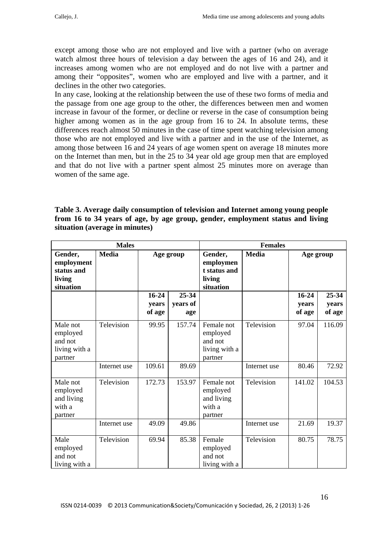except among those who are not employed and live with a partner (who on average watch almost three hours of television a day between the ages of 16 and 24), and it increases among women who are not employed and do not live with a partner and among their "opposites", women who are employed and live with a partner, and it declines in the other two categories.

In any case, looking at the relationship between the use of these two forms of media and the passage from one age group to the other, the differences between men and women increase in favour of the former, or decline or reverse in the case of consumption being higher among women as in the age group from 16 to 24. In absolute terms, these differences reach almost 50 minutes in the case of time spent watching television among those who are not employed and live with a partner and in the use of the Internet, as among those between 16 and 24 years of age women spent on average 18 minutes more on the Internet than men, but in the 25 to 34 year old age group men that are employed and that do not live with a partner spent almost 25 minutes more on average than women of the same age.

| Table 3. Average daily consumption of television and Internet among young people |
|----------------------------------------------------------------------------------|
| from 16 to 34 years of age, by age group, gender, employment status and living   |
| situation (average in minutes)                                                   |

|                                                             | <b>Males</b> |                              |                          | <b>Females</b>                                                |              |                              |                          |
|-------------------------------------------------------------|--------------|------------------------------|--------------------------|---------------------------------------------------------------|--------------|------------------------------|--------------------------|
| Gender,<br>employment<br>status and<br>living<br>situation  | <b>Media</b> |                              | Age group                | Gender,<br>employmen<br>t status and<br>living<br>situation   | <b>Media</b> | Age group                    |                          |
|                                                             |              | $16 - 24$<br>years<br>of age | 25-34<br>years of<br>age |                                                               |              | $16 - 24$<br>years<br>of age | 25-34<br>years<br>of age |
| Male not<br>employed<br>and not<br>living with a<br>partner | Television   | 99.95                        | 157.74                   | Female not<br>employed<br>and not<br>living with a<br>partner | Television   | 97.04                        | 116.09                   |
|                                                             | Internet use | 109.61                       | 89.69                    |                                                               | Internet use | 80.46                        | 72.92                    |
| Male not<br>employed<br>and living<br>with a<br>partner     | Television   | 172.73                       | 153.97                   | Female not<br>employed<br>and living<br>with a<br>partner     | Television   | 141.02                       | 104.53                   |
|                                                             | Internet use | 49.09                        | 49.86                    |                                                               | Internet use | 21.69                        | 19.37                    |
| Male<br>employed<br>and not<br>living with a                | Television   | 69.94                        | 85.38                    | Female<br>employed<br>and not<br>living with a                | Television   | 80.75                        | 78.75                    |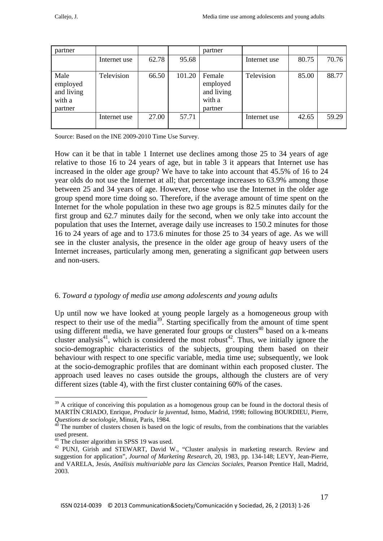| partner                                             |              |       |        | partner                                               |              |       |       |
|-----------------------------------------------------|--------------|-------|--------|-------------------------------------------------------|--------------|-------|-------|
|                                                     | Internet use | 62.78 | 95.68  |                                                       | Internet use | 80.75 | 70.76 |
| Male<br>employed<br>and living<br>with a<br>partner | Television   | 66.50 | 101.20 | Female<br>employed<br>and living<br>with a<br>partner | Television   | 85.00 | 88.77 |
|                                                     | Internet use | 27.00 | 57.71  |                                                       | Internet use | 42.65 | 59.29 |

Source: Based on the INE 2009-2010 Time Use Survey.

How can it be that in table 1 Internet use declines among those 25 to 34 years of age relative to those 16 to 24 years of age, but in table 3 it appears that Internet use has increased in the older age group? We have to take into account that 45.5% of 16 to 24 year olds do not use the Internet at all; that percentage increases to 63.9% among those between 25 and 34 years of age. However, those who use the Internet in the older age group spend more time doing so. Therefore, if the average amount of time spent on the Internet for the whole population in these two age groups is 82.5 minutes daily for the first group and 62.7 minutes daily for the second, when we only take into account the population that uses the Internet, average daily use increases to 150.2 minutes for those 16 to 24 years of age and to 173.6 minutes for those 25 to 34 years of age. As we will see in the cluster analysis, the presence in the older age group of heavy users of the Internet increases, particularly among men, generating a significant *gap* between users and non-users.

## 6. *Toward a typology of media use among adolescents and young adults*

Up until now we have looked at young people largely as a homogeneous group with respect to their use of the media<sup>39</sup>. Starting specifically from the amount of time spent using different media, we have generated four groups or clusters<sup>40</sup> based on a k-means cluster analysis<sup>41</sup>, which is considered the most robust<sup>42</sup>. Thus, we initially ignore the socio-demographic characteristics of the subjects, grouping them based on their behaviour with respect to one specific variable, media time use; subsequently, we look at the socio-demographic profiles that are dominant within each proposed cluster. The approach used leaves no cases outside the groups, although the clusters are of very different sizes (table 4), with the first cluster containing 60% of the cases.

1

<sup>&</sup>lt;sup>39</sup> A critique of conceiving this population as a homogenous group can be found in the doctoral thesis of MARTÍN CRIADO, Enrique, *Producir la juventud*, Istmo, Madrid, 1998; following BOURDIEU, Pierre, *Questions de sociologie*, Minuit, Paris, 1984.<br><sup>40</sup> The number of clusters chosen is based on the logic of results, from the combinations that the variables

used present.

 $41$  The cluster algorithm in SPSS 19 was used.

<sup>&</sup>lt;sup>42</sup> PUNJ, Girish and STEWART, David W., "Cluster analysis in marketing research. Review and suggestion for application", *Journal of Marketing Research*, 20, 1983, pp. 134-148; LEVY, Jean-Pierre, and VARELA, Jesús, *Análisis multivariable para las Ciencias Sociales*, Pearson Prentice Hall, Madrid, 2003.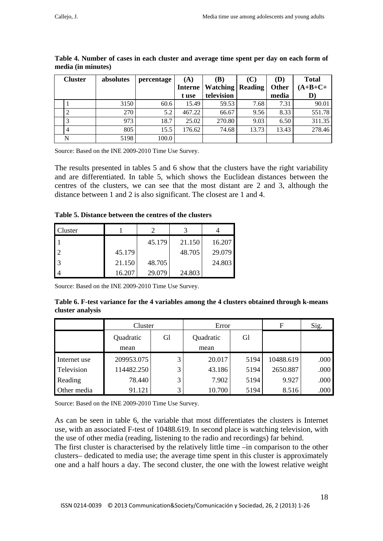| <b>Cluster</b> | absolutes | percentage | (A)            | (B)                       | (C)   | (D)   | <b>Total</b> |
|----------------|-----------|------------|----------------|---------------------------|-------|-------|--------------|
|                |           |            | <b>Interne</b> | <b>Watching   Reading</b> |       | Other | $(A+B+C+$    |
|                |           |            | t use          | television                |       | media | D)           |
|                | 3150      | 60.6       | 15.49          | 59.53                     | 7.68  | 7.31  | 90.01        |
|                | 270       | 5.2        | 467.22         | 66.67                     | 9.56  | 8.33  | 551.78       |
|                | 973       | 18.7       | 25.02          | 270.80                    | 9.03  | 6.50  | 311.35       |
|                | 805       | 15.5       | 176.62         | 74.68                     | 13.73 | 13.43 | 278.46       |
| N              | 5198      | 100.0      |                |                           |       |       |              |

| Table 4. Number of cases in each cluster and average time spent per day on each form of |  |  |
|-----------------------------------------------------------------------------------------|--|--|
| media (in minutes)                                                                      |  |  |

Source: Based on the INE 2009-2010 Time Use Survey.

The results presented in tables 5 and 6 show that the clusters have the right variability and are differentiated. In table 5, which shows the Euclidean distances between the centres of the clusters, we can see that the most distant are 2 and 3, although the distance between 1 and 2 is also significant. The closest are 1 and 4.

**Table 5. Distance between the centres of the clusters**

| Cluster        |        |        |        |        |
|----------------|--------|--------|--------|--------|
|                |        | 45.179 | 21.150 | 16.207 |
| $\mathfrak{D}$ | 45.179 |        | 48.705 | 29.079 |
| 3              | 21.150 | 48.705 |        | 24.803 |
|                | 16.207 | 29.079 | 24.803 |        |

Source: Based on the INE 2009-2010 Time Use Survey.

**Table 6. F-test variance for the 4 variables among the 4 clusters obtained through k-means cluster analysis** 

|              | Cluster           |    | Error             |      | F         | Sig. |
|--------------|-------------------|----|-------------------|------|-----------|------|
|              | Quadratic<br>mean | Gl | Quadratic<br>mean | Gl   |           |      |
| Internet use | 209953.075        | 3  | 20.017            | 5194 | 10488.619 | .000 |
| Television   | 114482.250        | 3  | 43.186            | 5194 | 2650.887  | .000 |
| Reading      | 78.440            | 3  | 7.902             | 5194 | 9.927     | .000 |
| Other media  | 91.121            | 3  | 10.700            | 5194 | 8.516     | .000 |

Source: Based on the INE 2009-2010 Time Use Survey.

As can be seen in table 6, the variable that most differentiates the clusters is Internet use, with an associated F-test of 10488.619. In second place is watching television, with the use of other media (reading, listening to the radio and recordings) far behind.

The first cluster is characterised by the relatively little time –in comparison to the other clusters– dedicated to media use; the average time spent in this cluster is approximately one and a half hours a day. The second cluster, the one with the lowest relative weight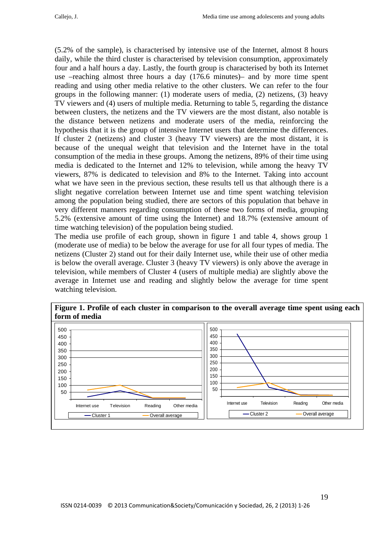(5.2% of the sample), is characterised by intensive use of the Internet, almost 8 hours daily, while the third cluster is characterised by television consumption, approximately four and a half hours a day. Lastly, the fourth group is characterised by both its Internet use –reaching almost three hours a day (176.6 minutes)– and by more time spent reading and using other media relative to the other clusters. We can refer to the four groups in the following manner: (1) moderate users of media, (2) netizens, (3) heavy TV viewers and (4) users of multiple media. Returning to table 5, regarding the distance between clusters, the netizens and the TV viewers are the most distant, also notable is the distance between netizens and moderate users of the media, reinforcing the hypothesis that it is the group of intensive Internet users that determine the differences. If cluster 2 (netizens) and cluster 3 (heavy TV viewers) are the most distant, it is because of the unequal weight that television and the Internet have in the total consumption of the media in these groups. Among the netizens, 89% of their time using media is dedicated to the Internet and 12% to television, while among the heavy TV viewers, 87% is dedicated to television and 8% to the Internet. Taking into account what we have seen in the previous section, these results tell us that although there is a slight negative correlation between Internet use and time spent watching television among the population being studied, there are sectors of this population that behave in very different manners regarding consumption of these two forms of media, grouping 5.2% (extensive amount of time using the Internet) and 18.7% (extensive amount of time watching television) of the population being studied.

The media use profile of each group, shown in figure 1 and table 4, shows group 1 (moderate use of media) to be below the average for use for all four types of media. The netizens (Cluster 2) stand out for their daily Internet use, while their use of other media is below the overall average. Cluster 3 (heavy TV viewers) is only above the average in television, while members of Cluster 4 (users of multiple media) are slightly above the average in Internet use and reading and slightly below the average for time spent watching television.



**Figure 1. Profile of each cluster in comparison to the overall average time spent using each**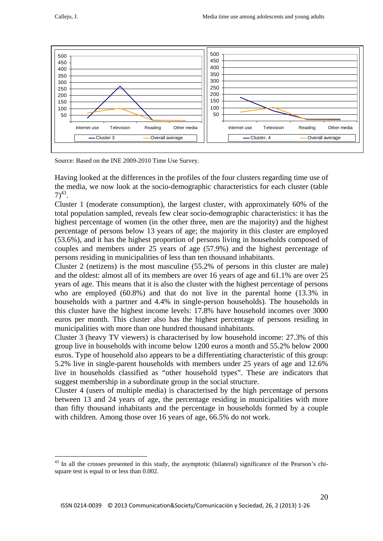<u>.</u>



Source: Based on the INE 2009-2010 Time Use Survey.

Having looked at the differences in the profiles of the four clusters regarding time use of the media, we now look at the socio-demographic characteristics for each cluster (table  $7)^{43}$ .

Cluster 1 (moderate consumption), the largest cluster, with approximately 60% of the total population sampled, reveals few clear socio-demographic characteristics: it has the highest percentage of women (in the other three, men are the majority) and the highest percentage of persons below 13 years of age; the majority in this cluster are employed (53.6%), and it has the highest proportion of persons living in households composed of couples and members under 25 years of age (57.9%) and the highest percentage of persons residing in municipalities of less than ten thousand inhabitants.

Cluster 2 (netizens) is the most masculine (55.2% of persons in this cluster are male) and the oldest: almost all of its members are over 16 years of age and 61.1% are over 25 years of age. This means that it is also the cluster with the highest percentage of persons who are employed (60.8%) and that do not live in the parental home (13.3% in households with a partner and 4.4% in single-person households). The households in this cluster have the highest income levels: 17.8% have household incomes over 3000 euros per month. This cluster also has the highest percentage of persons residing in municipalities with more than one hundred thousand inhabitants.

Cluster 3 (heavy TV viewers) is characterised by low household income: 27.3% of this group live in households with income below 1200 euros a month and 55.2% below 2000 euros. Type of household also appears to be a differentiating characteristic of this group: 5.2% live in single-parent households with members under 25 years of age and 12.6% live in households classified as "other household types". These are indicators that suggest membership in a subordinate group in the social structure.

Cluster 4 (users of multiple media) is characterised by the high percentage of persons between 13 and 24 years of age, the percentage residing in municipalities with more than fifty thousand inhabitants and the percentage in households formed by a couple with children. Among those over 16 years of age, 66.5% do not work.

<sup>&</sup>lt;sup>43</sup> In all the crosses presented in this study, the asymptotic (bilateral) significance of the Pearson's chisquare test is equal to or less than 0.002.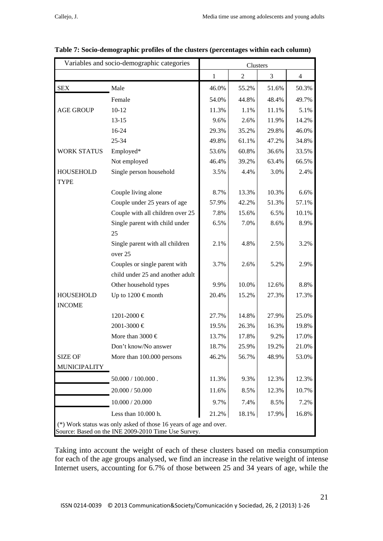|                                   | Variables and socio-demographic categories                                                                               |              | Clusters       |       |       |  |  |
|-----------------------------------|--------------------------------------------------------------------------------------------------------------------------|--------------|----------------|-------|-------|--|--|
|                                   |                                                                                                                          | $\mathbf{1}$ | $\overline{2}$ | 3     | 4     |  |  |
| <b>SEX</b>                        | Male                                                                                                                     | 46.0%        | 55.2%          | 51.6% | 50.3% |  |  |
|                                   | Female                                                                                                                   | 54.0%        | 44.8%          | 48.4% | 49.7% |  |  |
| <b>AGE GROUP</b>                  | $10 - 12$                                                                                                                | 11.3%        | 1.1%           | 11.1% | 5.1%  |  |  |
|                                   | $13 - 15$                                                                                                                | 9.6%         | 2.6%           | 11.9% | 14.2% |  |  |
|                                   | 16-24                                                                                                                    | 29.3%        | 35.2%          | 29.8% | 46.0% |  |  |
|                                   | 25-34                                                                                                                    | 49.8%        | 61.1%          | 47.2% | 34.8% |  |  |
| <b>WORK STATUS</b>                | Employed*                                                                                                                | 53.6%        | 60.8%          | 36.6% | 33.5% |  |  |
|                                   | Not employed                                                                                                             | 46.4%        | 39.2%          | 63.4% | 66.5% |  |  |
| <b>HOUSEHOLD</b><br><b>TYPE</b>   | Single person household                                                                                                  | 3.5%         | 4.4%           | 3.0%  | 2.4%  |  |  |
|                                   | Couple living alone                                                                                                      | 8.7%         | 13.3%          | 10.3% | 6.6%  |  |  |
|                                   | Couple under 25 years of age                                                                                             | 57.9%        | 42.2%          | 51.3% | 57.1% |  |  |
|                                   | Couple with all children over 25                                                                                         | 7.8%         | 15.6%          | 6.5%  | 10.1% |  |  |
|                                   | Single parent with child under<br>25                                                                                     | 6.5%         | 7.0%           | 8.6%  | 8.9%  |  |  |
|                                   | Single parent with all children<br>over 25                                                                               | 2.1%         | 4.8%           | 2.5%  | 3.2%  |  |  |
|                                   | Couples or single parent with<br>child under 25 and another adult                                                        | 3.7%         | 2.6%           | 5.2%  | 2.9%  |  |  |
|                                   | Other household types                                                                                                    | 9.9%         | 10.0%          | 12.6% | 8.8%  |  |  |
| <b>HOUSEHOLD</b><br><b>INCOME</b> | Up to $1200 \in \text{month}$                                                                                            | 20.4%        | 15.2%          | 27.3% | 17.3% |  |  |
|                                   | 1201-2000 €                                                                                                              | 27.7%        | 14.8%          | 27.9% | 25.0% |  |  |
|                                   | 2001-3000 €                                                                                                              | 19.5%        | 26.3%          | 16.3% | 19.8% |  |  |
|                                   | More than 3000 $\in$                                                                                                     | 13.7%        | 17.8%          | 9.2%  | 17.0% |  |  |
|                                   | Don't know/No answer                                                                                                     | 18.7%        | 25.9%          | 19.2% | 21.0% |  |  |
| <b>SIZE OF</b>                    | More than 100.000 persons                                                                                                | 46.2%        | 56.7%          | 48.9% | 53.0% |  |  |
| <b>MUNICIPALITY</b>               |                                                                                                                          |              |                |       |       |  |  |
|                                   | $50.000 / 100.000$ .                                                                                                     | 11.3%        | 9.3%           | 12.3% | 12.3% |  |  |
|                                   | 20.000 / 50.000                                                                                                          | 11.6%        | 8.5%           | 12.3% | 10.7% |  |  |
|                                   | 10.000 / 20.000                                                                                                          | 9.7%         | 7.4%           | 8.5%  | 7.2%  |  |  |
|                                   | Less than 10.000 h.                                                                                                      | 21.2%        | 18.1%          | 17.9% | 16.8% |  |  |
|                                   | (*) Work status was only asked of those 16 years of age and over.<br>Source: Based on the INE 2009-2010 Time Use Survey. |              |                |       |       |  |  |

Taking into account the weight of each of these clusters based on media consumption for each of the age groups analysed, we find an increase in the relative weight of intense Internet users, accounting for 6.7% of those between 25 and 34 years of age, while the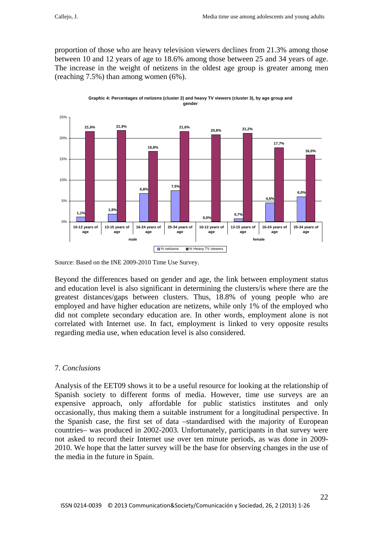proportion of those who are heavy television viewers declines from 21.3% among those between 10 and 12 years of age to 18.6% among those between 25 and 34 years of age. The increase in the weight of netizens in the oldest age group is greater among men (reaching 7.5%) than among women (6%).



**Graphic 4: Percentages of netizens (cluster 2) and heavy TV viewers (cluster 3), by age group and gender**

Source: Based on the INE 2009-2010 Time Use Survey.

Beyond the differences based on gender and age, the link between employment status and education level is also significant in determining the clusters/is where there are the greatest distances/gaps between clusters. Thus, 18.8% of young people who are employed and have higher education are netizens, while only 1% of the employed who did not complete secondary education are. In other words, employment alone is not correlated with Internet use. In fact, employment is linked to very opposite results regarding media use, when education level is also considered.

## 7. *Conclusions*

Analysis of the EET09 shows it to be a useful resource for looking at the relationship of Spanish society to different forms of media. However, time use surveys are an expensive approach, only affordable for public statistics institutes and only occasionally, thus making them a suitable instrument for a longitudinal perspective. In the Spanish case, the first set of data –standardised with the majority of European countries– was produced in 2002-2003. Unfortunately, participants in that survey were not asked to record their Internet use over ten minute periods, as was done in 2009- 2010. We hope that the latter survey will be the base for observing changes in the use of the media in the future in Spain.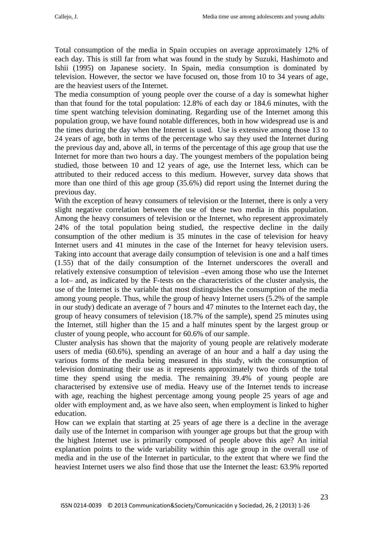Total consumption of the media in Spain occupies on average approximately 12% of each day. This is still far from what was found in the study by Suzuki, Hashimoto and Ishii (1995) on Japanese society. In Spain, media consumption is dominated by television. However, the sector we have focused on, those from 10 to 34 years of age, are the heaviest users of the Internet.

The media consumption of young people over the course of a day is somewhat higher than that found for the total population: 12.8% of each day or 184.6 minutes, with the time spent watching television dominating. Regarding use of the Internet among this population group, we have found notable differences, both in how widespread use is and the times during the day when the Internet is used. Use is extensive among those 13 to 24 years of age, both in terms of the percentage who say they used the Internet during the previous day and, above all, in terms of the percentage of this age group that use the Internet for more than two hours a day. The youngest members of the population being studied, those between 10 and 12 years of age, use the Internet less, which can be attributed to their reduced access to this medium. However, survey data shows that more than one third of this age group (35.6%) did report using the Internet during the previous day.

With the exception of heavy consumers of television or the Internet, there is only a very slight negative correlation between the use of these two media in this population. Among the heavy consumers of television or the Internet, who represent approximately 24% of the total population being studied, the respective decline in the daily consumption of the other medium is 35 minutes in the case of television for heavy Internet users and 41 minutes in the case of the Internet for heavy television users. Taking into account that average daily consumption of television is one and a half times (1.55) that of the daily consumption of the Internet underscores the overall and relatively extensive consumption of television –even among those who use the Internet a lot– and, as indicated by the F-tests on the characteristics of the cluster analysis, the use of the Internet is the variable that most distinguishes the consumption of the media among young people. Thus, while the group of heavy Internet users (5.2% of the sample in our study) dedicate an average of 7 hours and 47 minutes to the Internet each day, the group of heavy consumers of television (18.7% of the sample), spend 25 minutes using the Internet, still higher than the 15 and a half minutes spent by the largest group or cluster of young people, who account for 60.6% of our sample.

Cluster analysis has shown that the majority of young people are relatively moderate users of media (60.6%), spending an average of an hour and a half a day using the various forms of the media being measured in this study, with the consumption of television dominating their use as it represents approximately two thirds of the total time they spend using the media. The remaining 39.4% of young people are characterised by extensive use of media. Heavy use of the Internet tends to increase with age, reaching the highest percentage among young people 25 years of age and older with employment and, as we have also seen, when employment is linked to higher education.

How can we explain that starting at 25 years of age there is a decline in the average daily use of the Internet in comparison with younger age groups but that the group with the highest Internet use is primarily composed of people above this age? An initial explanation points to the wide variability within this age group in the overall use of media and in the use of the Internet in particular, to the extent that where we find the heaviest Internet users we also find those that use the Internet the least: 63.9% reported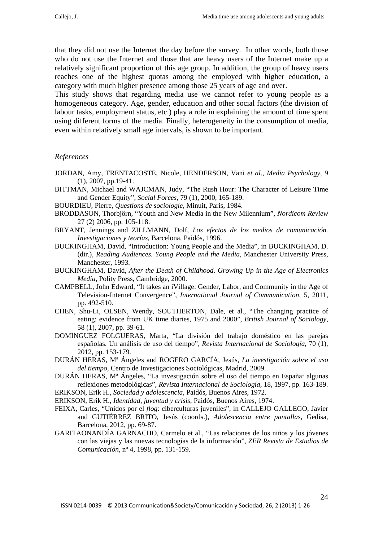that they did not use the Internet the day before the survey. In other words, both those who do not use the Internet and those that are heavy users of the Internet make up a relatively significant proportion of this age group. In addition, the group of heavy users reaches one of the highest quotas among the employed with higher education, a category with much higher presence among those 25 years of age and over.

This study shows that regarding media use we cannot refer to young people as a homogeneous category. Age, gender, education and other social factors (the division of labour tasks, employment status, etc.) play a role in explaining the amount of time spent using different forms of the media. Finally, heterogeneity in the consumption of media, even within relatively small age intervals, is shown to be important.

#### *References*

- JORDAN, Amy, TRENTACOSTE, Nicole, HENDERSON, Vani *et al*., *Media Psychology*, 9 (1), 2007, pp.19-41.
- BITTMAN, Michael and WAJCMAN, Judy, "The Rush Hour: The Character of Leisure Time and Gender Equity", *Social Forces*, 79 (1), 2000, 165-189.
- BOURDIEU, Pierre, *Questions de sociologie*, Minuit, Paris, 1984.
- BRODDASON, Thorbjörn, "Youth and New Media in the New Milennium", *Nordicom Review*  27 (2) 2006, pp. 105-118.
- BRYANT, Jennings and ZILLMANN, Dolf, *Los efectos de los medios de comunicación. Investigaciones y teorías*, Barcelona, Paidós, 1996.
- BUCKINGHAM, David, "Introduction: Young People and the Media", in BUCKINGHAM, D. (dir.), *Reading Audiences. Young People and the Media*, Manchester University Press, Manchester, 1993.
- BUCKINGHAM, David, *After the Death of Childhood. Growing Up in the Age of Electronics Media*, Polity Press, Cambridge, 2000.
- CAMPBELL, John Edward, "It takes an iVillage: Gender, Labor, and Community in the Age of Television-Internet Convergence", *International Journal of Communication*, 5, 2011, pp. 492-510.
- CHEN, Shu-Li, OLSEN, Wendy, SOUTHERTON, Dale, et al., "The changing practice of eating: evidence from UK time diaries, 1975 and 2000", *British Journal of Sociology*, 58 (1), 2007, pp. 39-61.
- DOMINGUEZ FOLGUERAS, Marta, "La división del trabajo doméstico en las parejas españolas. Un análisis de uso del tiempo", *Revista Internacional de Sociología*, 70 (1), 2012, pp. 153-179.
- DURÁN HERAS, Mª Ángeles and ROGERO GARCÍA, Jesús, *La investigación sobre el uso del tiempo*, Centro de Investigaciones Sociológicas, Madrid, 2009.
- DURÁN HERAS, Mª Ángeles, "La investigación sobre el uso del tiempo en España: algunas reflexiones metodológicas", *Revista Internacional de Sociología*, 18, 1997, pp. 163-189.
- ERIKSON, Erik H., *Sociedad y adolescencia*, Paidós, Buenos Aires, 1972.
- ERIKSON, Erik H., *Identidad, juventud y crisis*, Paidós, Buenos Aires, 1974.
- FEIXA, Carles, "Unidos por el *flog*: ciberculturas juveniles", in CALLEJO GALLEGO, Javier and GUTIÉRREZ BRITO, Jesús (coords.), *Adolescencia entre pantallas*, Gedisa, Barcelona, 2012, pp. 69-87.
- GARITAONANDÍA GARNACHO, Carmelo et al., "Las relaciones de los niños y los jóvenes con las viejas y las nuevas tecnologías de la información", *ZER Revista de Estudios de Comunicación*, nº 4, 1998, pp. 131-159.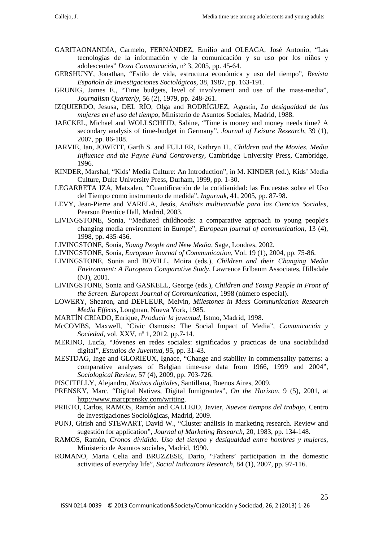- GARITAONANDÍA, Carmelo, FERNÁNDEZ, Emilio and OLEAGA, José Antonio, "Las tecnologías de la información y de la comunicación y su uso por los niños y adolescentes" *Doxa Comunicación,* nº 3, 2005, pp. 45-64.
- GERSHUNY, Jonathan, "Estilo de vida, estructura económica y uso del tiempo", *Revista Española de Investigaciones Sociológicas,* 38, 1987, pp. 163-191.
- GRUNIG, James E., "Time budgets, level of involvement and use of the mass-media", *Journalism Quarterly*, 56 (2), 1979, pp. 248-261.
- IZQUIERDO, Jesusa, DEL RÍO, Olga and RODRÍGUEZ, Agustín, *La desigualdad de las mujeres en el uso del tiempo*, Ministerio de Asuntos Sociales, Madrid, 1988.
- JAECKEL, Michael and WOLLSCHEID, Sabine, "Time is money and money needs time? A secondary analysis of time-budget in Germany", *Journal of Leisure Research*, 39 (1), 2007, pp. 86-108.
- JARVIE, Ian, JOWETT, Garth S. and FULLER, Kathryn H., *Children and the Movies. Media Influence and the Payne Fund Controversy*, Cambridge University Press, Cambridge, 1996.
- KINDER, Marshal, "Kids' Media Culture: An Introduction", in M. KINDER (ed.), Kids' Media Culture, Duke University Press, Durham, 1999, pp. 1-30.
- LEGARRETA IZA, Matxalen, "Cuantificación de la cotidianidad: las Encuestas sobre el Uso del Tiempo como instrumento de medida", *Inguruak*, 41, 2005, pp. 87-98.
- LEVY, Jean-Pierre and VARELA, Jesús, *Análisis multivariable para las Ciencias Sociales*, Pearson Prentice Hall, Madrid, 2003.
- LIVINGSTONE, Sonia, "Mediated childhoods: a comparative approach to young people's changing media environment in Europe", *European journal of communication*, 13 (4), 1998, pp. 435-456.
- LIVINGSTONE, Sonia, *Young People and New Media*, Sage, Londres, 2002.
- LIVINGSTONE, Sonia, *European Journal of Communication*, Vol. 19 (1), 2004, pp. 75-86.
- LIVINGSTONE, Sonia and BOVILL, Moira (eds.), *Children and their Changing Media Environment: A European Comparative Study*, Lawrence Erlbaum Associates, Hillsdale (NJ), 2001.
- LIVINGSTONE, Sonia and GASKELL, George (eds.), *Children and Young People in Front of the Screen. European Journal of Communication*, 1998 (número especial).
- LOWERY, Shearon, and DEFLEUR, Melvin, *Milestones in Mass Communication Research Media Effects*, Longman, Nueva York, 1985.
- MARTÍN CRIADO, Enrique, *Producir la juventud*, Istmo, Madrid, 1998.
- McCOMBS, Maxwell, "Civic Osmosis: The Social Impact of Media", *Comunicación y Sociedad*, vol. XXV, nº 1, 2012, pp.7-14.
- MERINO, Lucía, "Jóvenes en redes sociales: significados y practicas de una sociabilidad digital", *Estudios de Juventud*, 95, pp. 31-43.
- MESTDAG, Inge and GLORIEUX, Ignace, "Change and stability in commensality patterns: a comparative analyses of Belgian time-use data from 1966, 1999 and 2004", *Sociological Review*, 57 (4), 2009, pp. 703-726.
- PISCITELLY, Alejandro, *Nativos digitales*, Santillana, Buenos Aires, 2009.
- PRENSKY, Marc, "Digital Natives, Digital Inmigrantes", *On the Horizon*, 9 (5), 2001, at http://www.marcprensky.com/writing.
- PRIETO, Carlos, RAMOS, Ramón and CALLEJO, Javier, *Nuevos tiempos del trabajo*, Centro de Investigaciones Sociológicas, Madrid, 2009.
- PUNJ, Girish and STEWART, David W., "Cluster análisis in marketing research. Review and sugestión for application", *Journal of Marketing Research*, 20, 1983, pp. 134-148.
- RAMOS, Ramón, *Cronos dividido. Uso del tiempo y desigualdad entre hombres y mujeres*, Ministerio de Asuntos sociales, Madrid, 1990.
- ROMANO, Maria Celia and BRUZZESE, Dario, "Fathers' participation in the domestic activities of everyday life", *Social Indicators Research*, 84 (1), 2007, pp. 97-116.